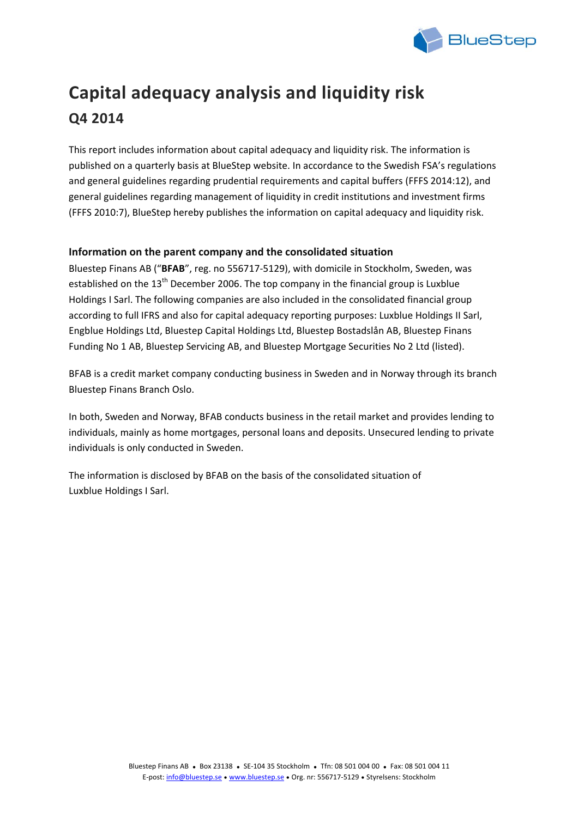

# **Capital adequacy analysis and liquidity risk Q4 2014**

This report includes information about capital adequacy and liquidity risk. The information is published on a quarterly basis at BlueStep website. In accordance to the Swedish FSA's regulations and general guidelines regarding prudential requirements and capital buffers (FFFS 2014:12), and general guidelines regarding management of liquidity in credit institutions and investment firms (FFFS 2010:7), BlueStep hereby publishes the information on capital adequacy and liquidity risk.

## **Information on the parent company and the consolidated situation**

Bluestep Finans AB ("**BFAB**", reg. no 556717‐5129), with domicile in Stockholm, Sweden, was established on the  $13<sup>th</sup>$  December 2006. The top company in the financial group is Luxblue Holdings I Sarl. The following companies are also included in the consolidated financial group according to full IFRS and also for capital adequacy reporting purposes: Luxblue Holdings II Sarl, Engblue Holdings Ltd, Bluestep Capital Holdings Ltd, Bluestep Bostadslån AB, Bluestep Finans Funding No 1 AB, Bluestep Servicing AB, and Bluestep Mortgage Securities No 2 Ltd (listed).

BFAB is a credit market company conducting business in Sweden and in Norway through its branch Bluestep Finans Branch Oslo.

In both, Sweden and Norway, BFAB conducts business in the retail market and provides lending to individuals, mainly as home mortgages, personal loans and deposits. Unsecured lending to private individuals is only conducted in Sweden.

The information is disclosed by BFAB on the basis of the consolidated situation of Luxblue Holdings I Sarl.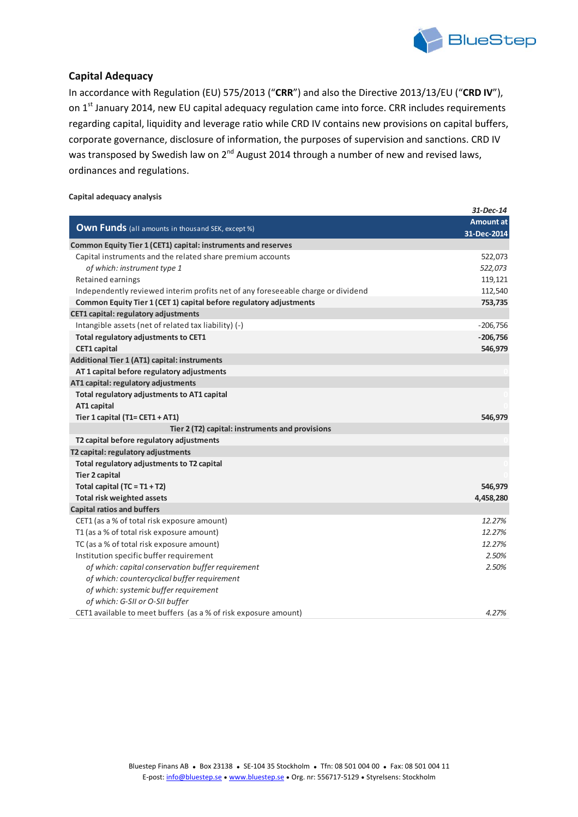

## **Capital Adequacy**

In accordance with Regulation (EU) 575/2013 ("**CRR**") and also the Directive 2013/13/EU ("**CRD IV**"), on 1<sup>st</sup> January 2014, new EU capital adequacy regulation came into force. CRR includes requirements regarding capital, liquidity and leverage ratio while CRD IV contains new provisions on capital buffers, corporate governance, disclosure of information, the purposes of supervision and sanctions. CRD IV was transposed by Swedish law on  $2^{nd}$  August 2014 through a number of new and revised laws, ordinances and regulations.

#### **Capital adequacy analysis**

|                                                                                  | $31$ -Dec-14     |
|----------------------------------------------------------------------------------|------------------|
| <b>Own Funds</b> (all amounts in thousand SEK, except %)                         | <b>Amount at</b> |
|                                                                                  | 31-Dec-2014      |
| Common Equity Tier 1 (CET1) capital: instruments and reserves                    |                  |
| Capital instruments and the related share premium accounts                       | 522,073          |
| of which: instrument type 1                                                      | 522,073          |
| Retained earnings                                                                | 119,121          |
| Independently reviewed interim profits net of any foreseeable charge or dividend | 112,540          |
| Common Equity Tier 1 (CET 1) capital before regulatory adjustments               | 753,735          |
| <b>CET1 capital: regulatory adjustments</b>                                      |                  |
| Intangible assets (net of related tax liability) (-)                             | $-206,756$       |
| Total regulatory adjustments to CET1                                             | $-206,756$       |
| <b>CET1</b> capital                                                              | 546,979          |
| Additional Tier 1 (AT1) capital: instruments                                     |                  |
| AT 1 capital before regulatory adjustments                                       |                  |
| AT1 capital: regulatory adjustments                                              |                  |
| Total regulatory adjustments to AT1 capital                                      |                  |
| AT1 capital                                                                      |                  |
| Tier 1 capital (T1= CET1 + AT1)                                                  | 546,979          |
| Tier 2 (T2) capital: instruments and provisions                                  |                  |
| T2 capital before regulatory adjustments                                         |                  |
| T2 capital: regulatory adjustments                                               |                  |
| Total regulatory adjustments to T2 capital                                       |                  |
| <b>Tier 2 capital</b>                                                            |                  |
| Total capital $(TC = T1 + T2)$                                                   | 546,979          |
| <b>Total risk weighted assets</b>                                                | 4,458,280        |
| <b>Capital ratios and buffers</b>                                                |                  |
| CET1 (as a % of total risk exposure amount)                                      | 12.27%           |
| T1 (as a % of total risk exposure amount)                                        | 12.27%           |
| TC (as a % of total risk exposure amount)                                        | 12.27%           |
| Institution specific buffer requirement                                          | 2.50%            |
| of which: capital conservation buffer requirement                                | 2.50%            |
| of which: countercyclical buffer requirement                                     |                  |
| of which: systemic buffer requirement                                            |                  |
| of which: G-SII or O-SII buffer                                                  |                  |
| CET1 available to meet buffers (as a % of risk exposure amount)                  | 4.27%            |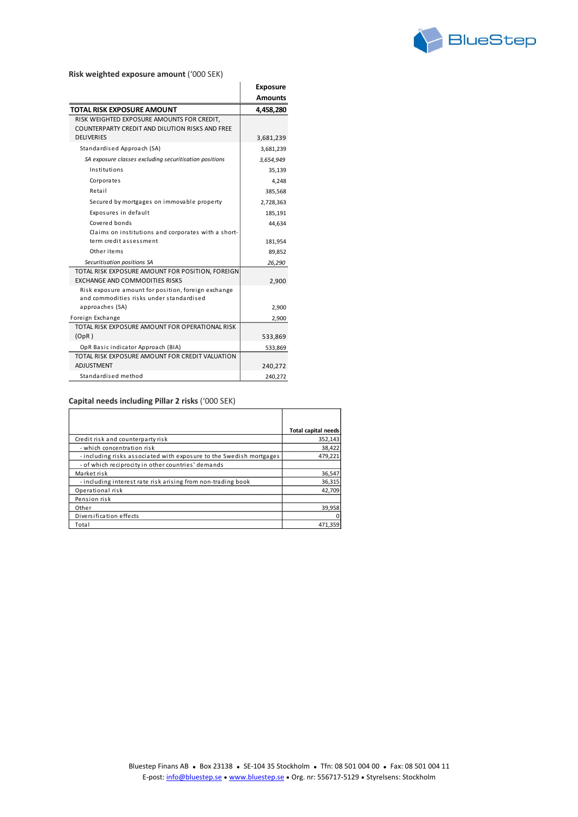

#### **Risk weighted exposure amount** ('000 SEK)

|                                                        | <b>Exposure</b> |
|--------------------------------------------------------|-----------------|
|                                                        | <b>Amounts</b>  |
| <b>TOTAL RISK EXPOSURE AMOUNT</b>                      | 4,458,280       |
| RISK WEIGHTED EXPOSURE AMOUNTS FOR CREDIT,             |                 |
| COUNTERPARTY CREDIT AND DILUTION RISKS AND FREE        |                 |
| <b>DELIVERIES</b>                                      | 3,681,239       |
| Standardised Approach (SA)                             | 3,681,239       |
| SA exposure classes excluding securitisation positions | 3,654,949       |
| Institutions                                           | 35,139          |
| Corporates                                             | 4,248           |
| Retail                                                 | 385,568         |
| Secured by mortgages on immovable property             | 2,728,363       |
| Exposures in default                                   | 185,191         |
| Covered bonds                                          | 44,634          |
| Claims on institutions and corporates with a short-    |                 |
| term credit assessment                                 | 181,954         |
| Other items                                            | 89,852          |
| Securitisation positions SA                            | 26,290          |
| TOTAL RISK EXPOSURE AMOUNT FOR POSITION, FOREIGN       |                 |
| <b>EXCHANGE AND COMMODITIES RISKS</b>                  | 2,900           |
| Risk exposure amount for position, foreign exchange    |                 |
| and commodities risks under standardised               |                 |
| approaches (SA)                                        | 2,900           |
| Foreign Exchange                                       | 2,900           |
| TOTAL RISK EXPOSURE AMOUNT FOR OPERATIONAL RISK        |                 |
| (OpR)                                                  | 533,869         |
| OpR Basic indicator Approach (BIA)                     | 533,869         |
| TOTAL RISK EXPOSURE AMOUNT FOR CREDIT VALUATION        |                 |
| <b>ADJUSTMENT</b>                                      | 240,272         |
| Standardised method                                    | 240,272         |

#### **Capital needs including Pillar 2 risks** ('000 SEK)

|                                                                     | <b>Total capital needs</b> |
|---------------------------------------------------------------------|----------------------------|
| Credit risk and counterparty risk                                   | 352,143                    |
| - which concentration risk                                          | 38,422                     |
| - including risks associated with exposure to the Swedish mortgages | 479,221                    |
| - of which reciprocity in other countries' demands                  |                            |
| Market risk                                                         | 36,547                     |
| - including interest rate risk arising from non-trading book        | 36,315                     |
| Operational risk                                                    | 42.709                     |
| Pension risk                                                        |                            |
| Other                                                               | 39.958                     |
| Diversification effects                                             |                            |
| Total                                                               | 471,359                    |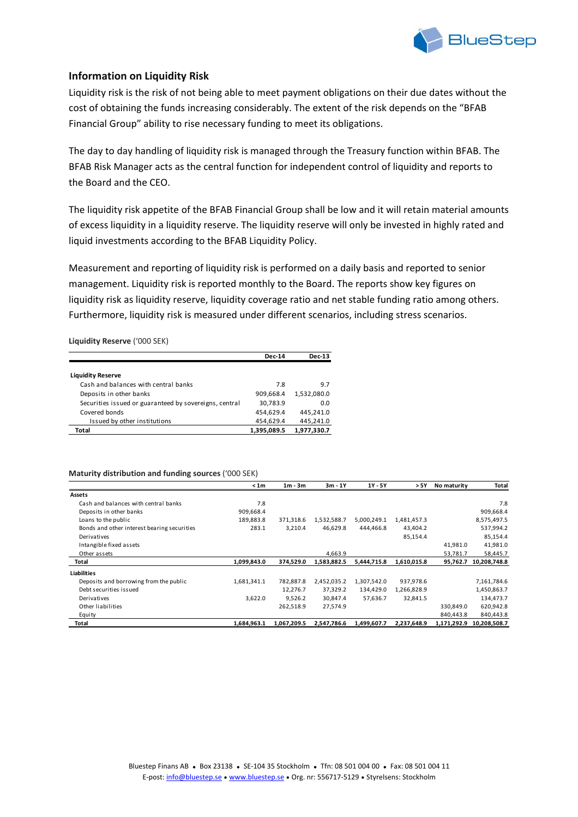

## **Information on Liquidity Risk**

Liquidity risk is the risk of not being able to meet payment obligations on their due dates without the cost of obtaining the funds increasing considerably. The extent of the risk depends on the "BFAB Financial Group" ability to rise necessary funding to meet its obligations.

The day to day handling of liquidity risk is managed through the Treasury function within BFAB. The BFAB Risk Manager acts as the central function for independent control of liquidity and reports to the Board and the CEO.

The liquidity risk appetite of the BFAB Financial Group shall be low and it will retain material amounts of excess liquidity in a liquidity reserve. The liquidity reserve will only be invested in highly rated and liquid investments according to the BFAB Liquidity Policy.

Measurement and reporting of liquidity risk is performed on a daily basis and reported to senior management. Liquidity risk is reported monthly to the Board. The reports show key figures on liquidity risk as liquidity reserve, liquidity coverage ratio and net stable funding ratio among others. Furthermore, liquidity risk is measured under different scenarios, including stress scenarios.

**Liquidity Reserve** ('000 SEK)

|                                                        | <b>Dec-14</b> | <b>Dec-13</b> |
|--------------------------------------------------------|---------------|---------------|
|                                                        |               |               |
| <b>Liquidity Reserve</b>                               |               |               |
| Cash and balances with central banks                   | 7.8           | 9.7           |
| Deposits in other banks                                | 909,668.4     | 1,532,080.0   |
| Securities issued or guaranteed by sovereigns, central | 30,783.9      | 0.0           |
| Covered bonds                                          | 454,629.4     | 445,241.0     |
| Issued by other institutions                           | 454,629.4     | 445,241.0     |
| Total                                                  | 1,395,089.5   | 1,977,330.7   |

#### **Maturity distribution and funding sources** ('000 SEK)

|                                             | <1m         | $1m - 3m$   | $3m - 1Y$   | 1Y - 5Y     | > 5Y        | No maturity | Total        |
|---------------------------------------------|-------------|-------------|-------------|-------------|-------------|-------------|--------------|
| <b>Assets</b>                               |             |             |             |             |             |             |              |
| Cash and balances with central banks        | 7.8         |             |             |             |             |             | 7.8          |
| Deposits in other banks                     | 909,668.4   |             |             |             |             |             | 909,668.4    |
| Loans to the public                         | 189,883.8   | 371,318.6   | 1,532,588.7 | 5,000,249.1 | 1,481,457.3 |             | 8,575,497.5  |
| Bonds and other interest bearing securities | 283.1       | 3,210.4     | 46,629.8    | 444,466.8   | 43,404.2    |             | 537,994.2    |
| Derivatives                                 |             |             |             |             | 85,154.4    |             | 85,154.4     |
| Intangible fixed assets                     |             |             |             |             |             | 41,981.0    | 41,981.0     |
| Other assets                                |             |             | 4,663.9     |             |             | 53,781.7    | 58,445.7     |
| Total                                       | 1,099,843.0 | 374,529.0   | 1,583,882.5 | 5,444,715.8 | 1,610,015.8 | 95,762.7    | 10,208,748.8 |
| <b>Liabilities</b>                          |             |             |             |             |             |             |              |
| Deposits and borrowing from the public      | 1,681,341.1 | 782,887.8   | 2,452,035.2 | 1,307,542.0 | 937,978.6   |             | 7,161,784.6  |
| Debt securities issued                      |             | 12,276.7    | 37,329.2    | 134,429.0   | 1,266,828.9 |             | 1,450,863.7  |
| Derivatives                                 | 3,622.0     | 9,526.2     | 30,847.4    | 57,636.7    | 32,841.5    |             | 134,473.7    |
| Other liabilities                           |             | 262,518.9   | 27,574.9    |             |             | 330,849.0   | 620,942.8    |
| Equity                                      |             |             |             |             |             | 840,443.8   | 840,443.8    |
| Total                                       | 1,684,963.1 | 1,067,209.5 | 2,547,786.6 | 1,499,607.7 | 2,237,648.9 | 1,171,292.9 | 10,208,508.7 |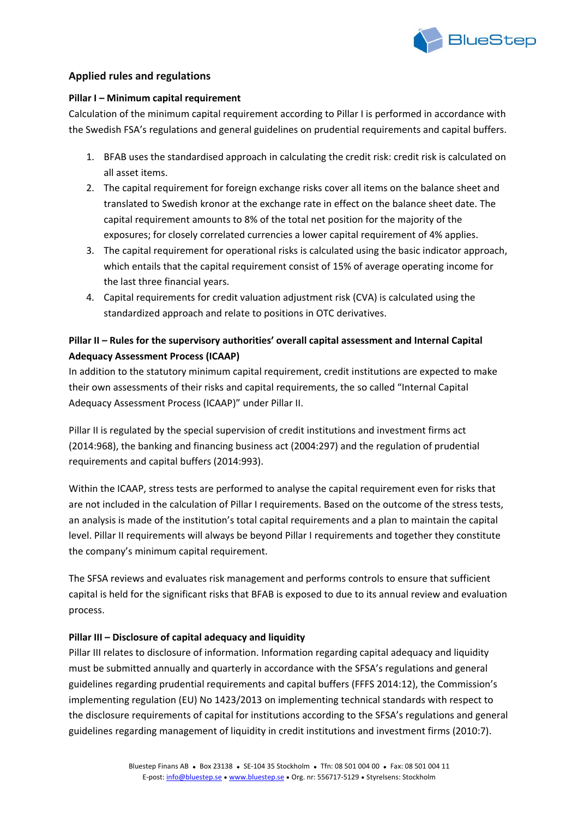

## **Applied rules and regulations**

#### **Pillar I – Minimum capital requirement**

Calculation of the minimum capital requirement according to Pillar I is performed in accordance with the Swedish FSA's regulations and general guidelines on prudential requirements and capital buffers.

- 1. BFAB uses the standardised approach in calculating the credit risk: credit risk is calculated on all asset items.
- 2. The capital requirement for foreign exchange risks cover all items on the balance sheet and translated to Swedish kronor at the exchange rate in effect on the balance sheet date. The capital requirement amounts to 8% of the total net position for the majority of the exposures; for closely correlated currencies a lower capital requirement of 4% applies.
- 3. The capital requirement for operational risks is calculated using the basic indicator approach, which entails that the capital requirement consist of 15% of average operating income for the last three financial years.
- 4. Capital requirements for credit valuation adjustment risk (CVA) is calculated using the standardized approach and relate to positions in OTC derivatives.

## **Pillar II – Rules for the supervisory authorities' overall capital assessment and Internal Capital Adequacy Assessment Process (ICAAP)**

In addition to the statutory minimum capital requirement, credit institutions are expected to make their own assessments of their risks and capital requirements, the so called "Internal Capital Adequacy Assessment Process (ICAAP)" under Pillar II.

Pillar II is regulated by the special supervision of credit institutions and investment firms act (2014:968), the banking and financing business act (2004:297) and the regulation of prudential requirements and capital buffers (2014:993).

Within the ICAAP, stress tests are performed to analyse the capital requirement even for risks that are not included in the calculation of Pillar I requirements. Based on the outcome of the stress tests, an analysis is made of the institution's total capital requirements and a plan to maintain the capital level. Pillar II requirements will always be beyond Pillar I requirements and together they constitute the company's minimum capital requirement.

The SFSA reviews and evaluates risk management and performs controls to ensure that sufficient capital is held for the significant risks that BFAB is exposed to due to its annual review and evaluation process.

#### **Pillar III – Disclosure of capital adequacy and liquidity**

Pillar III relates to disclosure of information. Information regarding capital adequacy and liquidity must be submitted annually and quarterly in accordance with the SFSA's regulations and general guidelines regarding prudential requirements and capital buffers (FFFS 2014:12), the Commission's implementing regulation (EU) No 1423/2013 on implementing technical standards with respect to the disclosure requirements of capital for institutions according to the SFSA's regulations and general guidelines regarding management of liquidity in credit institutions and investment firms (2010:7).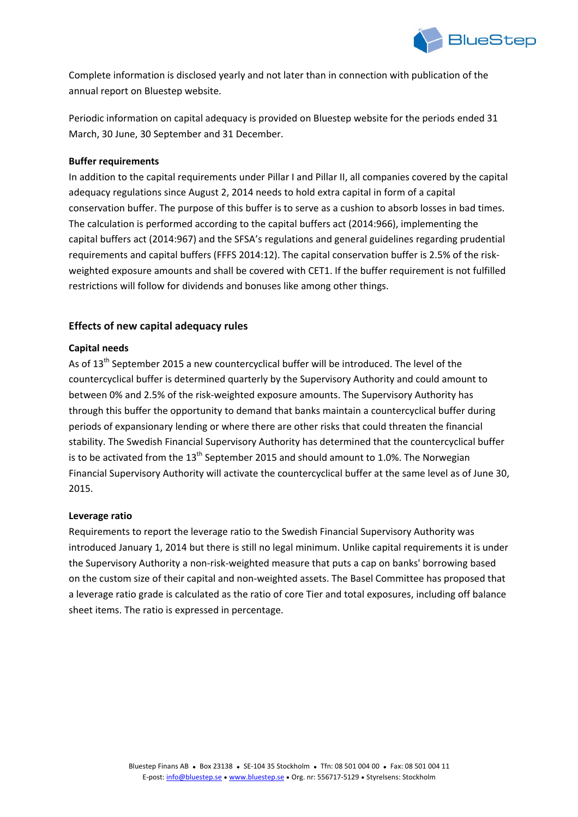

Complete information is disclosed yearly and not later than in connection with publication of the annual report on Bluestep website.

Periodic information on capital adequacy is provided on Bluestep website for the periods ended 31 March, 30 June, 30 September and 31 December.

## **Buffer requirements**

In addition to the capital requirements under Pillar I and Pillar II, all companies covered by the capital adequacy regulations since August 2, 2014 needs to hold extra capital in form of a capital conservation buffer. The purpose of this buffer is to serve as a cushion to absorb losses in bad times. The calculation is performed according to the capital buffers act (2014:966), implementing the capital buffers act (2014:967) and the SFSA's regulations and general guidelines regarding prudential requirements and capital buffers (FFFS 2014:12). The capital conservation buffer is 2.5% of the risk‐ weighted exposure amounts and shall be covered with CET1. If the buffer requirement is not fulfilled restrictions will follow for dividends and bonuses like among other things.

## **Effects of new capital adequacy rules**

## **Capital needs**

As of 13<sup>th</sup> September 2015 a new countercyclical buffer will be introduced. The level of the countercyclical buffer is determined quarterly by the Supervisory Authority and could amount to between 0% and 2.5% of the risk‐weighted exposure amounts. The Supervisory Authority has through this buffer the opportunity to demand that banks maintain a countercyclical buffer during periods of expansionary lending or where there are other risks that could threaten the financial stability. The Swedish Financial Supervisory Authority has determined that the countercyclical buffer is to be activated from the  $13<sup>th</sup>$  September 2015 and should amount to 1.0%. The Norwegian Financial Supervisory Authority will activate the countercyclical buffer at the same level as of June 30, 2015.

#### **Leverage ratio**

Requirements to report the leverage ratio to the Swedish Financial Supervisory Authority was introduced January 1, 2014 but there is still no legal minimum. Unlike capital requirements it is under the Supervisory Authority a non‐risk‐weighted measure that puts a cap on banks' borrowing based on the custom size of their capital and non‐weighted assets. The Basel Committee has proposed that a leverage ratio grade is calculated as the ratio of core Tier and total exposures, including off balance sheet items. The ratio is expressed in percentage.